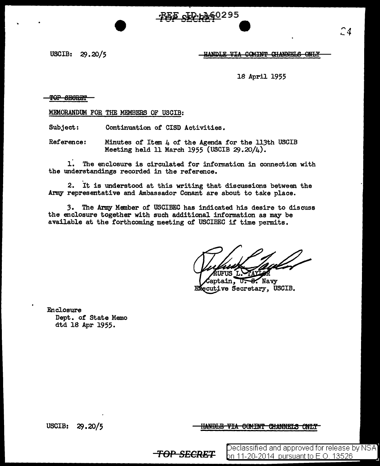FEE CLP-b260295

USCIB: 29.20/5

HANDLE VIA COMINT GHANNELS ONLY

<del>TOP SECRET</del>

MEMORANDUM FOR THE MEMBERS OF USCIB:

Subject: Continuation of CISD Activities.

Reference: Minutes of Item 4 of the Agenda for the 113th USCIB Meeting held 11 March 1955 (USCIB  $29.20/4$ ).

 $\mathbf{1}$ . The enclosure is circulated for information in connection with the understandings recorded in the reference.

2. It is understood at this writing that discussions between the Army representative and Ambassador Conant are about to take place.

3. The Army Member of USCIBEC has indicated his desire to discuss the enclosure together with such additional information as may be available at the forthcoming meeting of USCIBEC if time permits.

UFUS L

aptain. U.S. Navy Executive Secretary, USCIB.

Enclosure Dept. of State Memo dtd 18 Apr 1955.

**USCIB:** 29.20/5 <del>HANDLE VIA COMINT CHANNELS ONLY</del>

<del>-TOP SECRET</del>

Declassified and approved for release by NSA] bn 11-20-<u>2014\_pursuant to E.O. 13526</u>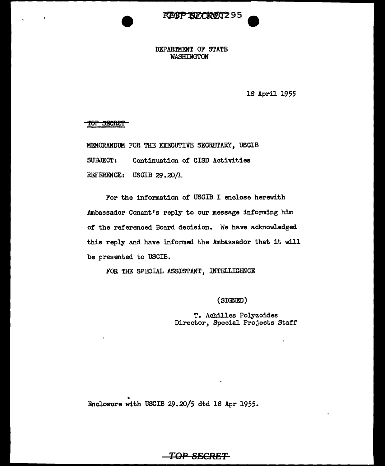

## DEPARTMENT OF STATE WASHINGTON

18 April 1955

TOP SECRET

MEMORANDUM FOR THE EXECUTIVE SECRETARY, USCIB SUBJECT: Continuation of CISD Activities REFERENCE: USCIB  $29.20/\mu$ 

For the information of USCIB I enclose herewith Ambassador Conant's reply to our message informing him of the referenced Board decision. We have acknowledged this reply and have informed the Ambassador that it will be presented to USCIB.

FOR THE SPECIAL ASSISTANT, INTELLIGENCE

(SIGNED)

T. Achilles Polyzoides Director, Special Projects Staff

• Enclosure with USCIB 29.20/5 dtd lS Apr 1955.

## **TOP SECRET**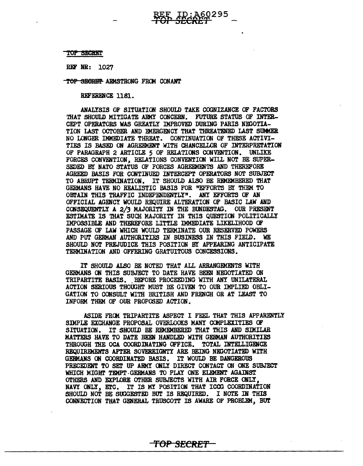## TOP SECRET

REF NR: 1027

TOP SECRET ARMSTRONG FROM CONANT

REFERENCE 1181.

ANALYSIS OF SITUATION SHOULD TAKE COGNIZANCE OF FACTORS THAT SHOULD MITIGATE ARMY CONCERN. FUTURE STATUS OF INTER-CEPT OPERATORS WAS GREATLY IMPROVED DURING PARIS NEGOTIA-TION LAST OCTOBER AND EMERGENCY THAT THREATENED LAST SUMMER NO LONGER IMMEDIATE THREAT. CONTINUATION OF THESE ACTIVI-TIES IS BASED ON AGREEMENT WITH CHANCELLOR OF INTERPRETATION OF PARAGRAPH 2 ARTICLE 5 OF RELATIONS CONVENTION. UNLIKE FORCES CONVENTION, RELATIONS CONVENTION WILL NOT BE SUPER-SEDED BY NATO STATUS OF FORCES AGREEMENTS AND THEREFORE AGREED BASIS FOR CONTINUED INTERCEPT OPERATORS NOT SUBJECT TO ABRUPT TERMINATION. IT SHOULD ALSO BE REMEMBERED THAT GERMANS HAVE NO REALISTIC BASIS FOR "EFFORTS BY THEM TO OBTAIN THIS TRAFFIC INDEPENDENTLY". ANY EFFORTS OF AN OFFICIAL AGENCY WOULD REQUIRE ALTERATION OF BASIC LAW AND CONSEQUENTLY A 2/3 MAJORITY IN THE BUNDESTAG. OUR PRESENT ESTIMATE IS THAT SUCH MAJORITY IN THIS QUESTION POLITICALLY IMPOSSIBLE AND THEREFORE LITTLE IMMEDIATE LIKELIHOOD CR PASSAGE OF LAW WHICH WOULD TERMINATE OUR RESERVED POWERS AND PUT GERMAN AUTHORITIES IN BUSINESS IN THIS FIELD. WE SHOULD NOT PREJUDICE THIS POSITION BY APPEARING ANTICIPATE TERMINATION AND OFFERING GRATUITOUS CONCESSIONS.

ID:A60295

IT SHOULD ALSO BE NOTED THAT ALL ARRANGDIENTS WITH GERMANS ON THIS SUBJECT TO DATE HAVE BEEN NEOOTIATED ON TRIPARTITE BASIS. BEFORE PROCEEDING WITH ANY UNILATERAL ACTION SERIOUS THOUGHT MUST BE GIVEN TO OUR IMPLIED OBLI-GATION TO CONSULT WITH BRITISH AND FRENCH OR AT LEAST TO INFORM THEM OF OUR PROPOSED ACTION.

ASIDE FRCM TRIPARTITE ASPECT I FEEL THAT THIS APPARENTLY SIMPLE EXCHANGE PROPOSAL OVERLOOKS MANY COMPLEXITIES OF SITUATION. IT SHOULD BE REMEMBERED THAT THIS AND SIMILAR MATTERS HAVE TO DATE BEEN HANDLED WITH GERMAN AUTHORITIES THROUGH THE OCA COORDINATING OFFICE. TOTAL INTELLIGENCE REQUIREMENTS AFTER SOVEREIGNTY ARE BEING NEGOTIATED WITH GEBMAHS ON COORDINATED BASIS. IT WOUID BE DANGEROUS PRECEDENT TO SEr UP ARMY ONLY DIRECT CONTACT ON ONE SUBJECT WHICH MIGHT TEMPT GERMANS TO PLAY ONE ELEMENT AGAINST OTHERS AND EXPLORE OTHER SUBJECTS WITH AIR FORCE ONLY, NAVY ONLY, ETC. IT IS MI POSITION THAT ICCG COORDINATION SHOULD NOT BE SUGGESTED BUT IS REQUIRED. I NOTE IN THIS CONNECTION THAT GENERAL TRUSCOTT IS AWARE OF PROBLEM, BUT

**'fOP SECRE'f**